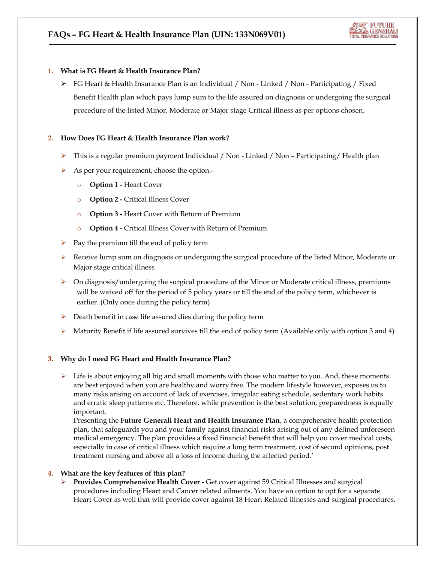# **1. What is FG Heart & Health Insurance Plan?**

 $\triangleright$  FG Heart & Health Insurance Plan is an Individual / Non - Linked / Non - Participating / Fixed Benefit Health plan which pays lump sum to the life assured on diagnosis or undergoing the surgical procedure of the listed Minor, Moderate or Major stage Critical Illness as per options chosen.

# **2. How Does FG Heart & Health Insurance Plan work?**

- $\triangleright$  This is a regular premium payment Individual / Non Linked / Non Participating/ Health plan
- As per your requirement, choose the option:
	- o **Option 1 -** Heart Cover
	- o **Option 2 -** Critical Illness Cover
	- o **Option 3 -** Heart Cover with Return of Premium
	- o **Option 4 -** Critical Illness Cover with Return of Premium
- Pay the premium till the end of policy term
- Receive lump sum on diagnosis or undergoing the surgical procedure of the listed Minor, Moderate or Major stage critical illness
- $\triangleright$  On diagnosis/undergoing the surgical procedure of the Minor or Moderate critical illness, premiums will be waived off for the period of 5 policy years or till the end of the policy term, whichever is earlier. (Only once during the policy term)
- $\triangleright$  Death benefit in case life assured dies during the policy term
- $\triangleright$  Maturity Benefit if life assured survives till the end of policy term (Available only with option 3 and 4)

# **3. Why do I need FG Heart and Health Insurance Plan?**

 $\triangleright$  Life is about enjoying all big and small moments with those who matter to you. And, these moments are best enjoyed when you are healthy and worry free. The modern lifestyle however, exposes us to many risks arising on account of lack of exercises, irregular eating schedule, sedentary work habits and erratic sleep patterns etc. Therefore, while prevention is the best solution, preparedness is equally important.

Presenting the **Future Generali Heart and Health Insurance Plan**, a comprehensive health protection plan, that safeguards you and your family against financial risks arising out of any defined unforeseen medical emergency. The plan provides a fixed financial benefit that will help you cover medical costs, especially in case of critical illness which require a long term treatment, cost of second opinions, post treatment nursing and above all a loss of income during the affected period.'

# **4. What are the key features of this plan?**

 **Provides Comprehensive Health Cover -** Get cover against 59 Critical Illnesses and surgical procedures including Heart and Cancer related ailments. You have an option to opt for a separate Heart Cover as well that will provide cover against 18 Heart Related illnesses and surgical procedures.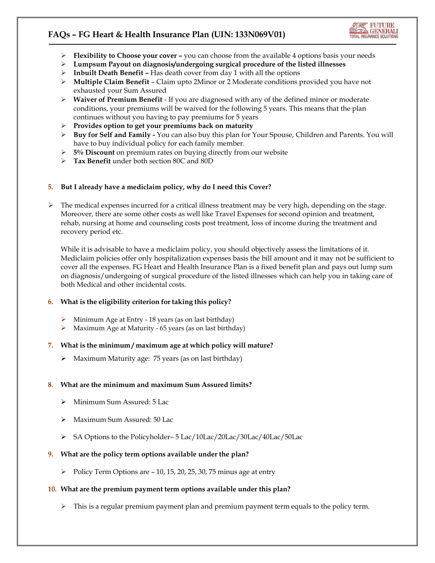

- **►** Flexibility to Choose your cover you can choose from the available 4 options basis your needs
- **Lumpsum Payout on diagnosis/undergoing surgical procedure of the listed illnesses**
- **Inbuilt Death Benefit –** Has death cover from day 1 with all the options
- **Multiple Claim Benefit** Claim upto 2Minor or 2 Moderate conditions provided you have not exhausted your Sum Assured
- **Waiver of Premium Benefit** If you are diagnosed with any of the defined minor or moderate conditions, your premiums will be waived for the following 5 years. This means that the plan continues without you having to pay premiums for 5 years
- **Provides option to get your premiums back on maturity**
- **Buy for Self and Family -** You can also buy this plan for Your Spouse, Children and Parents. You will have to buy individual policy for each family member.
- **5% Discount** on premium rates on buying directly from our website
- **Tax Benefit** under both section 80C and 80D

#### **5. But I already have a mediclaim policy, why do I need this Cover?**

 $\triangleright$  The medical expenses incurred for a critical illness treatment may be very high, depending on the stage. Moreover, there are some other costs as well like Travel Expenses for second opinion and treatment, rehab, nursing at home and counseling costs post treatment, loss of income during the treatment and recovery period etc.

While it is advisable to have a mediclaim policy, you should objectively assess the limitations of it. Mediclaim policies offer only hospitalization expenses basis the bill amount and it may not be sufficient to cover all the expenses. FG Heart and Health Insurance Plan is a fixed benefit plan and pays out lump sum on diagnosis/undergoing of surgical procedure of the listed illnesses which can help you in taking care of both Medical and other incidental costs.

#### **6. What is the eligibility criterion for taking this policy?**

- $\triangleright$  Minimum Age at Entry 18 years (as on last birthday)
- Maximum Age at Maturity 65 years (as on last birthday)

#### **7. What is the minimum / maximum age at which policy will mature?**

 $\triangleright$  Maximum Maturity age: 75 years (as on last birthday)

#### **8. What are the minimum and maximum Sum Assured limits?**

- Minimum Sum Assured: 5 Lac
- Maximum Sum Assured: 50 Lack
- SA Options to the Policyholder– 5 Lac/10Lac/20Lac/30Lac/40Lac/50Lac

#### **9. What are the policy term options available under the plan?**

Policy Term Options are  $-10$ , 15, 20, 25, 30, 75 minus age at entry

# **10. What are the premium payment term options available under this plan?**

 $\triangleright$  This is a regular premium payment plan and premium payment term equals to the policy term.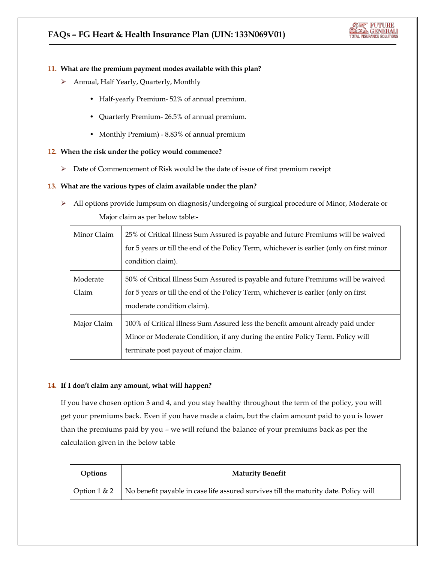

#### **11. What are the premium payment modes available with this plan?**

- Annual, Half Yearly, Quarterly, Monthly
	- Half-yearly Premium- 52% of annual premium.
	- Quarterly Premium- 26.5% of annual premium.
	- Monthly Premium) 8.83% of annual premium

#### **12. When the risk under the policy would commence?**

 $\triangleright$  Date of Commencement of Risk would be the date of issue of first premium receipt

#### **13. What are the various types of claim available under the plan?**

 All options provide lumpsum on diagnosis/undergoing of surgical procedure of Minor, Moderate or Major claim as per below table:-

| Minor Claim       | 25% of Critical Illness Sum Assured is payable and future Premiums will be waived<br>for 5 years or till the end of the Policy Term, whichever is earlier (only on first minor<br>condition claim).        |
|-------------------|------------------------------------------------------------------------------------------------------------------------------------------------------------------------------------------------------------|
| Moderate<br>Claim | 50% of Critical Illness Sum Assured is payable and future Premiums will be waived<br>for 5 years or till the end of the Policy Term, whichever is earlier (only on first<br>moderate condition claim).     |
| Major Claim       | 100% of Critical Illness Sum Assured less the benefit amount already paid under<br>Minor or Moderate Condition, if any during the entire Policy Term. Policy will<br>terminate post payout of major claim. |

# **14. If I don't claim any amount, what will happen?**

If you have chosen option 3 and 4, and you stay healthy throughout the term of the policy, you will get your premiums back. Even if you have made a claim, but the claim amount paid to you is lower than the premiums paid by you – we will refund the balance of your premiums back as per the calculation given in the below table

| Options | <b>Maturity Benefit</b>                                                                                               |
|---------|-----------------------------------------------------------------------------------------------------------------------|
|         | $\sqrt{$ Option 1 & 2 $\sqrt{ }$ No benefit payable in case life assured survives till the maturity date. Policy will |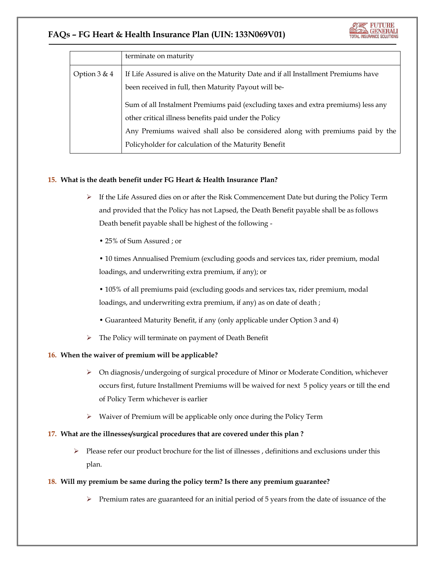|                | terminate on maturity                                                                                                                      |
|----------------|--------------------------------------------------------------------------------------------------------------------------------------------|
| Option $3 & 4$ | If Life Assured is alive on the Maturity Date and if all Installment Premiums have<br>been received in full, then Maturity Payout will be- |
|                | Sum of all Instalment Premiums paid (excluding taxes and extra premiums) less any<br>other critical illness benefits paid under the Policy |
|                | Any Premiums waived shall also be considered along with premiums paid by the                                                               |
|                | Policyholder for calculation of the Maturity Benefit                                                                                       |

# **15. What is the death benefit under FG Heart & Health Insurance Plan?**

- $\triangleright$  If the Life Assured dies on or after the Risk Commencement Date but during the Policy Term and provided that the Policy has not Lapsed, the Death Benefit payable shall be as follows Death benefit payable shall be highest of the following -
	- 25% of Sum Assured ; or

• 10 times Annualised Premium (excluding goods and services tax, rider premium, modal loadings, and underwriting extra premium, if any); or

• 105% of all premiums paid (excluding goods and services tax, rider premium, modal loadings, and underwriting extra premium, if any) as on date of death;

- Guaranteed Maturity Benefit, if any (only applicable under Option 3 and 4)
- > The Policy will terminate on payment of Death Benefit

# **16. When the waiver of premium will be applicable?**

- On diagnosis/undergoing of surgical procedure of Minor or Moderate Condition, whichever occurs first, future Installment Premiums will be waived for next 5 policy years or till the end of Policy Term whichever is earlier
- $\triangleright$  Waiver of Premium will be applicable only once during the Policy Term

# **17. What are the illnesses/surgical procedures that are covered under this plan ?**

 $\triangleright$  Please refer our product brochure for the list of illnesses, definitions and exclusions under this plan.

# **18. Will my premium be same during the policy term? Is there any premium guarantee?**

 $\triangleright$  Premium rates are guaranteed for an initial period of 5 years from the date of issuance of the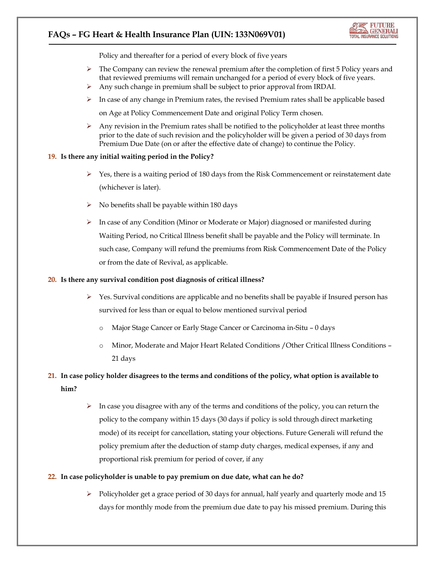

Policy and thereafter for a period of every block of five years

- $\triangleright$  The Company can review the renewal premium after the completion of first 5 Policy years and that reviewed premiums will remain unchanged for a period of every block of five years.
- Any such change in premium shall be subject to prior approval from IRDAI.
- $\triangleright$  In case of any change in Premium rates, the revised Premium rates shall be applicable based

on Age at Policy Commencement Date and original Policy Term chosen.

 $\triangleright$  Any revision in the Premium rates shall be notified to the policyholder at least three months prior to the date of such revision and the policyholder will be given a period of 30 days from Premium Due Date (on or after the effective date of change) to continue the Policy.

#### **19. Is there any initial waiting period in the Policy?**

- $\triangleright$  Yes, there is a waiting period of 180 days from the Risk Commencement or reinstatement date (whichever is later).
- $\triangleright$  No benefits shall be payable within 180 days
- $\triangleright$  In case of any Condition (Minor or Moderate or Major) diagnosed or manifested during Waiting Period, no Critical Illness benefit shall be payable and the Policy will terminate. In such case, Company will refund the premiums from Risk Commencement Date of the Policy or from the date of Revival, as applicable.

#### **20. Is there any survival condition post diagnosis of critical illness?**

- $\triangleright$  Yes. Survival conditions are applicable and no benefits shall be payable if Insured person has survived for less than or equal to below mentioned survival period
	- Major Stage Cancer or Early Stage Cancer or Carcinoma in-Situ 0 days
	- o Minor, Moderate and Major Heart Related Conditions /Other Critical Illness Conditions 21 days

# **21. In case policy holder disagrees to the terms and conditions of the policy, what option is available to him?**

 $\triangleright$  In case you disagree with any of the terms and conditions of the policy, you can return the policy to the company within 15 days (30 days if policy is sold through direct marketing mode) of its receipt for cancellation, stating your objections. Future Generali will refund the policy premium after the deduction of stamp duty charges, medical expenses, if any and proportional risk premium for period of cover, if any

#### **22. In case policyholder is unable to pay premium on due date, what can he do?**

 $\triangleright$  Policyholder get a grace period of 30 days for annual, half yearly and quarterly mode and 15 days for monthly mode from the premium due date to pay his missed premium. During this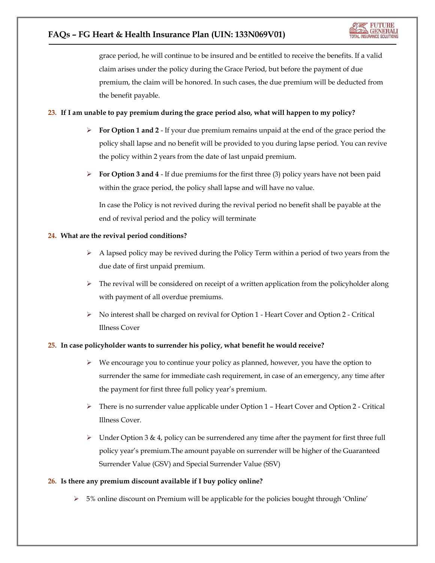grace period, he will continue to be insured and be entitled to receive the benefits. If a valid claim arises under the policy during the Grace Period, but before the payment of due premium, the claim will be honored. In such cases, the due premium will be deducted from the benefit payable.

# **23. If I am unable to pay premium during the grace period also, what will happen to my policy?**

- **For Option 1 and 2** If your due premium remains unpaid at the end of the grace period the policy shall lapse and no benefit will be provided to you during lapse period. You can revive the policy within 2 years from the date of last unpaid premium.
- **For Option 3 and 4 If due premiums for the first three (3) policy years have not been paid** within the grace period, the policy shall lapse and will have no value.

In case the Policy is not revived during the revival period no benefit shall be payable at the end of revival period and the policy will terminate

# **24. What are the revival period conditions?**

- $\triangleright$  A lapsed policy may be revived during the Policy Term within a period of two years from the due date of first unpaid premium.
- $\triangleright$  The revival will be considered on receipt of a written application from the policyholder along with payment of all overdue premiums.
- No interest shall be charged on revival for Option 1 Heart Cover and Option 2 Critical Illness Cover

# **25. In case policyholder wants to surrender his policy, what benefit he would receive?**

- $\triangleright$  We encourage you to continue your policy as planned, however, you have the option to surrender the same for immediate cash requirement, in case of an emergency, any time after the payment for first three full policy year's premium.
- $\triangleright$  There is no surrender value applicable under Option 1 Heart Cover and Option 2 Critical Illness Cover.
- $\triangleright$  Under Option 3 & 4, policy can be surrendered any time after the payment for first three full policy year's premium.The amount payable on surrender will be higher of the Guaranteed Surrender Value (GSV) and Special Surrender Value (SSV)

# **26. Is there any premium discount available if I buy policy online?**

 $>$  5% online discount on Premium will be applicable for the policies bought through 'Online'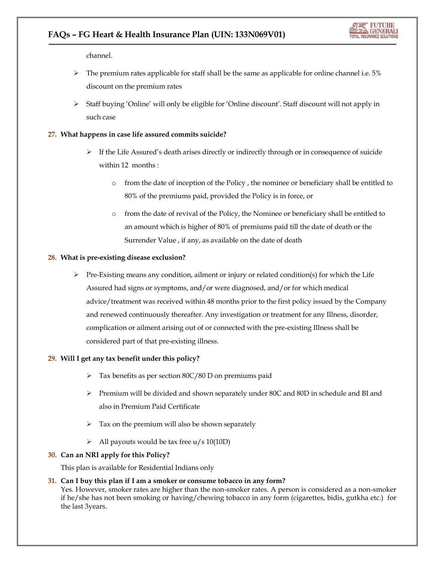channel.

- The premium rates applicable for staff shall be the same as applicable for online channel i.e. 5% discount on the premium rates
- $\triangleright$  Staff buying 'Online' will only be eligible for 'Online discount'. Staff discount will not apply in such case

# **27. What happens in case life assured commits suicide?**

- $\triangleright$  If the Life Assured's death arises directly or indirectly through or in consequence of suicide within 12 months :
	- o from the date of inception of the Policy , the nominee or beneficiary shall be entitled to 80% of the premiums paid, provided the Policy is in force, or
	- o from the date of revival of the Policy, the Nominee or beneficiary shall be entitled to an amount which is higher of 80% of premiums paid till the date of death or the Surrender Value , if any, as available on the date of death

#### **28. What is pre-existing disease exclusion?**

 $\triangleright$  Pre-Existing means any condition, ailment or injury or related condition(s) for which the Life Assured had signs or symptoms, and/or were diagnosed, and/or for which medical advice/treatment was received within 48 months prior to the first policy issued by the Company and renewed continuously thereafter. Any investigation or treatment for any Illness, disorder, complication or ailment arising out of or connected with the pre-existing Illness shall be considered part of that pre-existing illness.

# **29. Will I get any tax benefit under this policy?**

- Tax benefits as per section 80C/80 D on premiums paid
- $\triangleright$  Premium will be divided and shown separately under 80C and 80D in schedule and BI and also in Premium Paid Certificate
- $\triangleright$  Tax on the premium will also be shown separately
- All payouts would be tax free  $u/s 10(10D)$

#### **30. Can an NRI apply for this Policy?**

This plan is available for Residential Indians only

#### **31. Can I buy this plan if I am a smoker or consume tobacco in any form?**

Yes. However, smoker rates are higher than the non-smoker rates. A person is considered as a non-smoker if he/she has not been smoking or having/chewing tobacco in any form (cigarettes, bidis, gutkha etc.) for the last 3years.